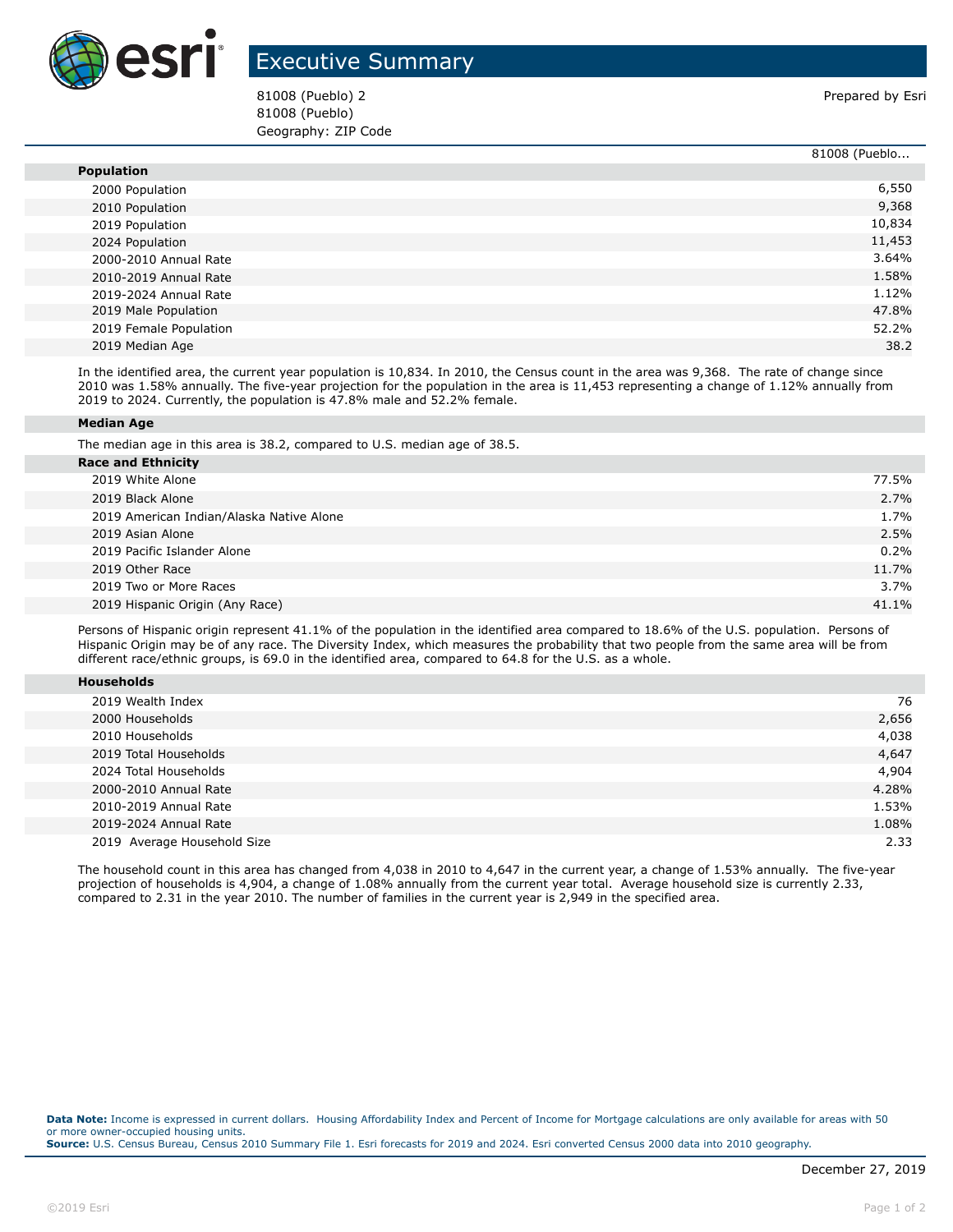

## Executive Summary

81008 (Pueblo) 2 Prepared by Esri 81008 (Pueblo) Geography: ZIP Code

|                        | 81008 (Pueblo |
|------------------------|---------------|
| <b>Population</b>      |               |
| 2000 Population        | 6,550         |
| 2010 Population        | 9,368         |
| 2019 Population        | 10,834        |
| 2024 Population        | 11,453        |
| 2000-2010 Annual Rate  | 3.64%         |
| 2010-2019 Annual Rate  | 1.58%         |
| 2019-2024 Annual Rate  | 1.12%         |
| 2019 Male Population   | 47.8%         |
| 2019 Female Population | 52.2%         |
| 2019 Median Age        | 38.2          |

In the identified area, the current year population is 10,834. In 2010, the Census count in the area was 9,368. The rate of change since 2010 was 1.58% annually. The five-year projection for the population in the area is 11,453 representing a change of 1.12% annually from 2019 to 2024. Currently, the population is 47.8% male and 52.2% female.

## **Median Age**

The median age in this area is 38.2, compared to U.S. median age of 38.5.

| <b>Race and Ethnicity</b>                |       |
|------------------------------------------|-------|
| 2019 White Alone                         | 77.5% |
| 2019 Black Alone                         | 2.7%  |
| 2019 American Indian/Alaska Native Alone | 1.7%  |
| 2019 Asian Alone                         | 2.5%  |
| 2019 Pacific Islander Alone              | 0.2%  |
| 2019 Other Race                          | 11.7% |
| 2019 Two or More Races                   | 3.7%  |
| 2019 Hispanic Origin (Any Race)          | 41.1% |
|                                          |       |

Persons of Hispanic origin represent 41.1% of the population in the identified area compared to 18.6% of the U.S. population. Persons of Hispanic Origin may be of any race. The Diversity Index, which measures the probability that two people from the same area will be from different race/ethnic groups, is 69.0 in the identified area, compared to 64.8 for the U.S. as a whole.

| <b>Households</b> |  |
|-------------------|--|
|                   |  |

| 2019 Wealth Index           | 76    |
|-----------------------------|-------|
| 2000 Households             | 2,656 |
| 2010 Households             | 4,038 |
| 2019 Total Households       | 4,647 |
| 2024 Total Households       | 4,904 |
| 2000-2010 Annual Rate       | 4.28% |
| 2010-2019 Annual Rate       | 1.53% |
| 2019-2024 Annual Rate       | 1.08% |
| 2019 Average Household Size | 2.33  |

The household count in this area has changed from 4,038 in 2010 to 4,647 in the current year, a change of 1.53% annually. The five-year projection of households is 4,904, a change of 1.08% annually from the current year total. Average household size is currently 2.33, compared to 2.31 in the year 2010. The number of families in the current year is 2,949 in the specified area.

**Data Note:** Income is expressed in current dollars. Housing Affordability Index and Percent of Income for Mortgage calculations are only available for areas with 50 or more owner-occupied housing units. **Source:** U.S. Census Bureau, Census 2010 Summary File 1. Esri forecasts for 2019 and 2024. Esri converted Census 2000 data into 2010 geography.